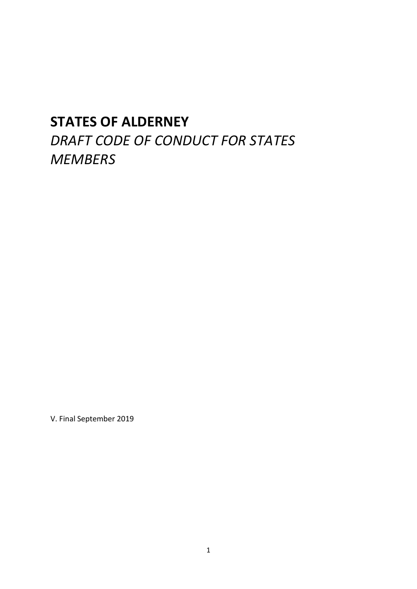# **STATES OF ALDERNEY**

*DRAFT CODE OF CONDUCT FOR STATES MEMBERS* 

V. Final September 2019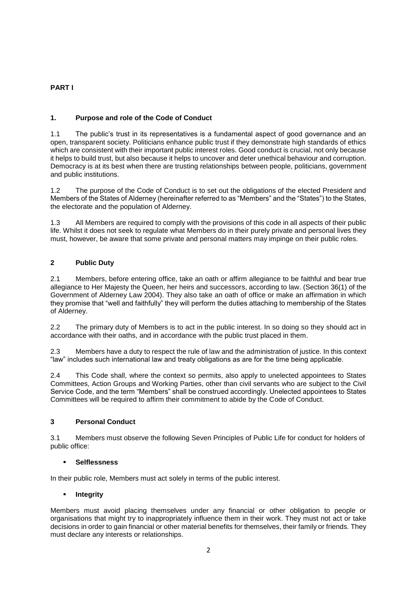# **PART I**

# **1. Purpose and role of the Code of Conduct**

1.1 The public's trust in its representatives is a fundamental aspect of good governance and an open, transparent society. Politicians enhance public trust if they demonstrate high standards of ethics which are consistent with their important public interest roles. Good conduct is crucial, not only because it helps to build trust, but also because it helps to uncover and deter unethical behaviour and corruption. Democracy is at its best when there are trusting relationships between people, politicians, government and public institutions.

1.2 The purpose of the Code of Conduct is to set out the obligations of the elected President and Members of the States of Alderney (hereinafter referred to as "Members" and the "States") to the States, the electorate and the population of Alderney.

1.3 All Members are required to comply with the provisions of this code in all aspects of their public life. Whilst it does not seek to regulate what Members do in their purely private and personal lives they must, however, be aware that some private and personal matters may impinge on their public roles.

# **2 Public Duty**

2.1 Members, before entering office, take an oath or affirm allegiance to be faithful and bear true allegiance to Her Majesty the Queen, her heirs and successors, according to law. (Section 36(1) of the Government of Alderney Law 2004). They also take an oath of office or make an affirmation in which they promise that "well and faithfully" they will perform the duties attaching to membership of the States of Alderney.

2.2 The primary duty of Members is to act in the public interest. In so doing so they should act in accordance with their oaths, and in accordance with the public trust placed in them.

2.3 Members have a duty to respect the rule of law and the administration of justice. In this context "law" includes such international law and treaty obligations as are for the time being applicable.

2.4 This Code shall, where the context so permits, also apply to unelected appointees to States Committees, Action Groups and Working Parties, other than civil servants who are subject to the Civil Service Code, and the term "Members" shall be construed accordingly. Unelected appointees to States Committees will be required to affirm their commitment to abide by the Code of Conduct.

## **3 Personal Conduct**

3.1 Members must observe the following Seven Principles of Public Life for conduct for holders of public office:

## **Selflessness**

In their public role, Members must act solely in terms of the public interest.

## **Integrity**

Members must avoid placing themselves under any financial or other obligation to people or organisations that might try to inappropriately influence them in their work. They must not act or take decisions in order to gain financial or other material benefits for themselves, their family or friends. They must declare any interests or relationships.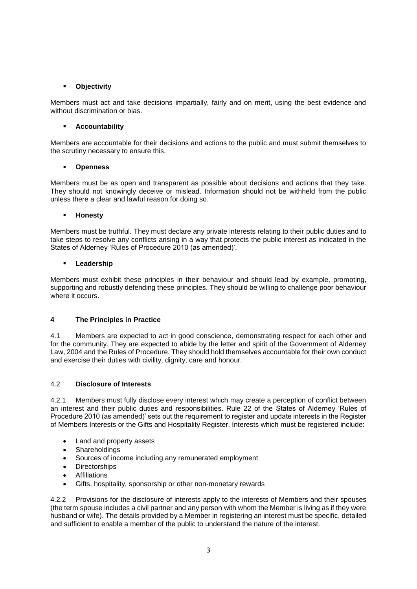## **Objectivity**

Members must act and take decisions impartially, fairly and on merit, using the best evidence and without discrimination or bias.

#### **Accountability**

Members are accountable for their decisions and actions to the public and must submit themselves to the scrutiny necessary to ensure this.

#### **Openness**

Members must be as open and transparent as possible about decisions and actions that they take. They should not knowingly deceive or mislead. Information should not be withheld from the public unless there a clear and lawful reason for doing so.

#### **Honesty**

Members must be truthful. They must declare any private interests relating to their public duties and to take steps to resolve any conflicts arising in a way that protects the public interest as indicated in the States of Alderney 'Rules of Procedure 2010 (as amended)'.

#### **Leadership**

Members must exhibit these principles in their behaviour and should lead by example, promoting, supporting and robustly defending these principles. They should be willing to challenge poor behaviour where it occurs.

## **4 The Principles in Practice**

4.1 Members are expected to act in good conscience, demonstrating respect for each other and for the community. They are expected to abide by the letter and spirit of the Government of Alderney Law, 2004 and the Rules of Procedure. They should hold themselves accountable for their own conduct and exercise their duties with civility, dignity, care and honour.

## 4.2 **Disclosure of Interests**

4.2.1 Members must fully disclose every interest which may create a perception of conflict between an interest and their public duties and responsibilities. Rule 22 of the States of Alderney 'Rules of Procedure 2010 (as amended)' sets out the requirement to register and update interests in the Register of Members Interests or the Gifts and Hospitality Register. Interests which must be registered include:

- Land and property assets
- Shareholdings
- Sources of income including any remunerated employment
- Directorships
- Affiliations
- Gifts, hospitality, sponsorship or other non-monetary rewards

4.2.2 Provisions for the disclosure of interests apply to the interests of Members and their spouses (the term spouse includes a civil partner and any person with whom the Member is living as if they were husband or wife). The details provided by a Member in registering an interest must be specific, detailed and sufficient to enable a member of the public to understand the nature of the interest.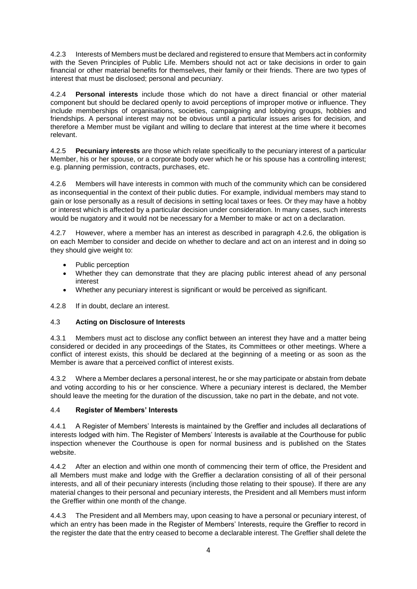4.2.3 Interests of Members must be declared and registered to ensure that Members act in conformity with the Seven Principles of Public Life. Members should not act or take decisions in order to gain financial or other material benefits for themselves, their family or their friends. There are two types of interest that must be disclosed; personal and pecuniary.

4.2.4 **Personal interests** include those which do not have a direct financial or other material component but should be declared openly to avoid perceptions of improper motive or influence. They include memberships of organisations, societies, campaigning and lobbying groups, hobbies and friendships. A personal interest may not be obvious until a particular issues arises for decision, and therefore a Member must be vigilant and willing to declare that interest at the time where it becomes relevant.

4.2.5 **Pecuniary interests** are those which relate specifically to the pecuniary interest of a particular Member, his or her spouse, or a corporate body over which he or his spouse has a controlling interest; e.g. planning permission, contracts, purchases, etc.

4.2.6 Members will have interests in common with much of the community which can be considered as inconsequential in the context of their public duties. For example, individual members may stand to gain or lose personally as a result of decisions in setting local taxes or fees. Or they may have a hobby or interest which is affected by a particular decision under consideration. In many cases, such interests would be nugatory and it would not be necessary for a Member to make or act on a declaration.

4.2.7 However, where a member has an interest as described in paragraph 4.2.6, the obligation is on each Member to consider and decide on whether to declare and act on an interest and in doing so they should give weight to:

- Public perception
- Whether they can demonstrate that they are placing public interest ahead of any personal interest
- Whether any pecuniary interest is significant or would be perceived as significant.

4.2.8 If in doubt, declare an interest.

## 4.3 **Acting on Disclosure of Interests**

4.3.1 Members must act to disclose any conflict between an interest they have and a matter being considered or decided in any proceedings of the States, its Committees or other meetings. Where a conflict of interest exists, this should be declared at the beginning of a meeting or as soon as the Member is aware that a perceived conflict of interest exists.

4.3.2 Where a Member declares a personal interest, he or she may participate or abstain from debate and voting according to his or her conscience. Where a pecuniary interest is declared, the Member should leave the meeting for the duration of the discussion, take no part in the debate, and not vote.

## 4.4 **Register of Members' Interests**

4.4.1 A Register of Members' Interests is maintained by the Greffier and includes all declarations of interests lodged with him. The Register of Members' Interests is available at the Courthouse for public inspection whenever the Courthouse is open for normal business and is published on the States website.

4.4.2 After an election and within one month of commencing their term of office, the President and all Members must make and lodge with the Greffier a declaration consisting of all of their personal interests, and all of their pecuniary interests (including those relating to their spouse). If there are any material changes to their personal and pecuniary interests, the President and all Members must inform the Greffier within one month of the change.

4.4.3 The President and all Members may, upon ceasing to have a personal or pecuniary interest, of which an entry has been made in the Register of Members' Interests, require the Greffier to record in the register the date that the entry ceased to become a declarable interest. The Greffier shall delete the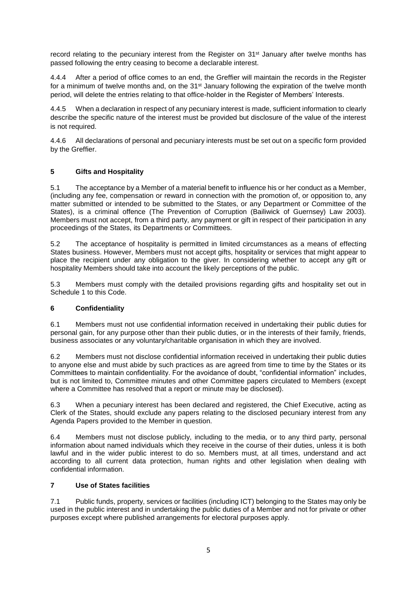record relating to the pecuniary interest from the Register on 31<sup>st</sup> January after twelve months has passed following the entry ceasing to become a declarable interest.

4.4.4 After a period of office comes to an end, the Greffier will maintain the records in the Register for a minimum of twelve months and, on the  $31<sup>st</sup>$  January following the expiration of the twelve month period, will delete the entries relating to that office-holder in the Register of Members' Interests.

4.4.5 When a declaration in respect of any pecuniary interest is made, sufficient information to clearly describe the specific nature of the interest must be provided but disclosure of the value of the interest is not required.

4.4.6 All declarations of personal and pecuniary interests must be set out on a specific form provided by the Greffier.

# **5 Gifts and Hospitality**

5.1 The acceptance by a Member of a material benefit to influence his or her conduct as a Member, (including any fee, compensation or reward in connection with the promotion of, or opposition to, any matter submitted or intended to be submitted to the States, or any Department or Committee of the States), is a criminal offence (The Prevention of Corruption (Bailiwick of Guernsey) Law 2003). Members must not accept, from a third party, any payment or gift in respect of their participation in any proceedings of the States, its Departments or Committees.

5.2 The acceptance of hospitality is permitted in limited circumstances as a means of effecting States business. However, Members must not accept gifts, hospitality or services that might appear to place the recipient under any obligation to the giver. In considering whether to accept any gift or hospitality Members should take into account the likely perceptions of the public.

5.3 Members must comply with the detailed provisions regarding gifts and hospitality set out in Schedule 1 to this Code.

## **6 Confidentiality**

6.1 Members must not use confidential information received in undertaking their public duties for personal gain, for any purpose other than their public duties, or in the interests of their family, friends, business associates or any voluntary/charitable organisation in which they are involved.

6.2 Members must not disclose confidential information received in undertaking their public duties to anyone else and must abide by such practices as are agreed from time to time by the States or its Committees to maintain confidentiality. For the avoidance of doubt, "confidential information" includes, but is not limited to, Committee minutes and other Committee papers circulated to Members (except where a Committee has resolved that a report or minute may be disclosed).

6.3 When a pecuniary interest has been declared and registered, the Chief Executive, acting as Clerk of the States, should exclude any papers relating to the disclosed pecuniary interest from any Agenda Papers provided to the Member in question.

6.4 Members must not disclose publicly, including to the media, or to any third party, personal information about named individuals which they receive in the course of their duties, unless it is both lawful and in the wider public interest to do so. Members must, at all times, understand and act according to all current data protection, human rights and other legislation when dealing with confidential information.

## **7 Use of States facilities**

7.1 Public funds, property, services or facilities (including ICT) belonging to the States may only be used in the public interest and in undertaking the public duties of a Member and not for private or other purposes except where published arrangements for electoral purposes apply.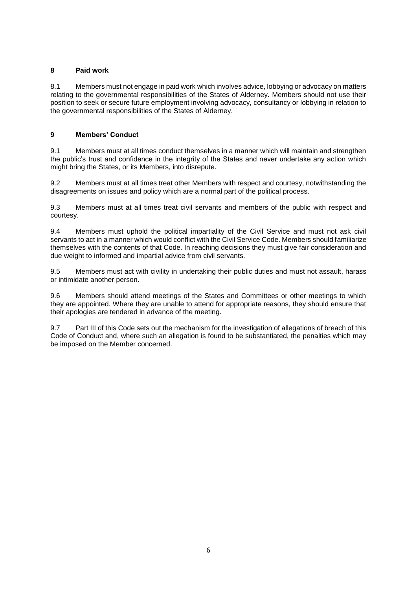### **8 Paid work**

8.1 Members must not engage in paid work which involves advice, lobbying or advocacy on matters relating to the governmental responsibilities of the States of Alderney. Members should not use their position to seek or secure future employment involving advocacy, consultancy or lobbying in relation to the governmental responsibilities of the States of Alderney.

## **9 Members' Conduct**

9.1 Members must at all times conduct themselves in a manner which will maintain and strengthen the public's trust and confidence in the integrity of the States and never undertake any action which might bring the States, or its Members, into disrepute.

9.2 Members must at all times treat other Members with respect and courtesy, notwithstanding the disagreements on issues and policy which are a normal part of the political process.

9.3 Members must at all times treat civil servants and members of the public with respect and courtesy.

9.4 Members must uphold the political impartiality of the Civil Service and must not ask civil servants to act in a manner which would conflict with the Civil Service Code. Members should familiarize themselves with the contents of that Code. In reaching decisions they must give fair consideration and due weight to informed and impartial advice from civil servants.

9.5 Members must act with civility in undertaking their public duties and must not assault, harass or intimidate another person.

9.6 Members should attend meetings of the States and Committees or other meetings to which they are appointed. Where they are unable to attend for appropriate reasons, they should ensure that their apologies are tendered in advance of the meeting.

9.7 Part III of this Code sets out the mechanism for the investigation of allegations of breach of this Code of Conduct and, where such an allegation is found to be substantiated, the penalties which may be imposed on the Member concerned.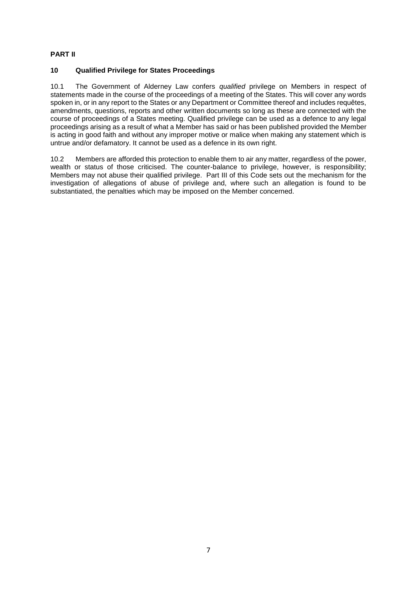# **PART II**

## **10 Qualified Privilege for States Proceedings**

10.1 The Government of Alderney Law confers *qualified* privilege on Members in respect of statements made in the course of the proceedings of a meeting of the States. This will cover any words spoken in, or in any report to the States or any Department or Committee thereof and includes requêtes, amendments, questions, reports and other written documents so long as these are connected with the course of proceedings of a States meeting. Qualified privilege can be used as a defence to any legal proceedings arising as a result of what a Member has said or has been published provided the Member is acting in good faith and without any improper motive or malice when making any statement which is untrue and/or defamatory. It cannot be used as a defence in its own right.

10.2 Members are afforded this protection to enable them to air any matter, regardless of the power, wealth or status of those criticised. The counter-balance to privilege, however, is responsibility; Members may not abuse their qualified privilege. Part III of this Code sets out the mechanism for the investigation of allegations of abuse of privilege and, where such an allegation is found to be substantiated, the penalties which may be imposed on the Member concerned.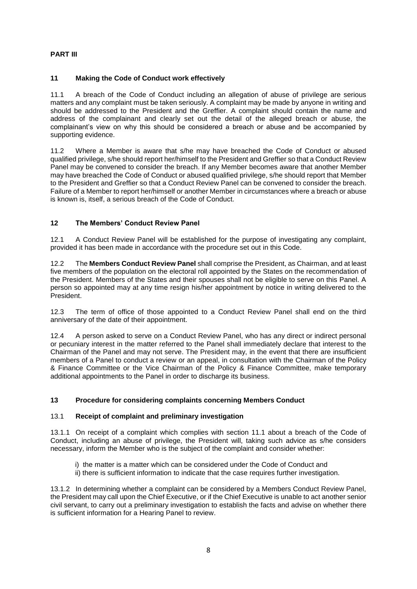# **PART III**

# **11 Making the Code of Conduct work effectively**

11.1 A breach of the Code of Conduct including an allegation of abuse of privilege are serious matters and any complaint must be taken seriously. A complaint may be made by anyone in writing and should be addressed to the President and the Greffier. A complaint should contain the name and address of the complainant and clearly set out the detail of the alleged breach or abuse, the complainant's view on why this should be considered a breach or abuse and be accompanied by supporting evidence.

11.2 Where a Member is aware that s/he may have breached the Code of Conduct or abused qualified privilege, s/he should report her/himself to the President and Greffier so that a Conduct Review Panel may be convened to consider the breach. If any Member becomes aware that another Member may have breached the Code of Conduct or abused qualified privilege, s/he should report that Member to the President and Greffier so that a Conduct Review Panel can be convened to consider the breach. Failure of a Member to report her/himself or another Member in circumstances where a breach or abuse is known is, itself, a serious breach of the Code of Conduct.

# **12 The Members' Conduct Review Panel**

12.1 A Conduct Review Panel will be established for the purpose of investigating any complaint, provided it has been made in accordance with the procedure set out in this Code.

12.2 The **Members Conduct Review Panel** shall comprise the President, as Chairman, and at least five members of the population on the electoral roll appointed by the States on the recommendation of the President. Members of the States and their spouses shall not be eligible to serve on this Panel. A person so appointed may at any time resign his/her appointment by notice in writing delivered to the President.

12.3 The term of office of those appointed to a Conduct Review Panel shall end on the third anniversary of the date of their appointment.

12.4 A person asked to serve on a Conduct Review Panel, who has any direct or indirect personal or pecuniary interest in the matter referred to the Panel shall immediately declare that interest to the Chairman of the Panel and may not serve. The President may, in the event that there are insufficient members of a Panel to conduct a review or an appeal, in consultation with the Chairman of the Policy & Finance Committee or the Vice Chairman of the Policy & Finance Committee, make temporary additional appointments to the Panel in order to discharge its business.

## **13 Procedure for considering complaints concerning Members Conduct**

## 13.1 **Receipt of complaint and preliminary investigation**

13.1.1 On receipt of a complaint which complies with section 11.1 about a breach of the Code of Conduct, including an abuse of privilege, the President will, taking such advice as s/he considers necessary, inform the Member who is the subject of the complaint and consider whether:

- i) the matter is a matter which can be considered under the Code of Conduct and
- ii) there is sufficient information to indicate that the case requires further investigation.

13.1.2 In determining whether a complaint can be considered by a Members Conduct Review Panel, the President may call upon the Chief Executive, or if the Chief Executive is unable to act another senior civil servant, to carry out a preliminary investigation to establish the facts and advise on whether there is sufficient information for a Hearing Panel to review.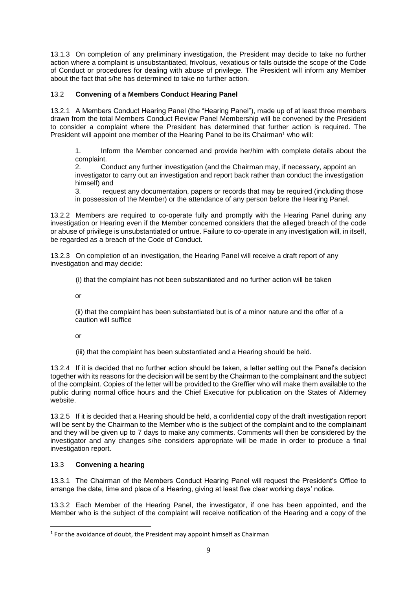13.1.3 On completion of any preliminary investigation, the President may decide to take no further action where a complaint is unsubstantiated, frivolous, vexatious or falls outside the scope of the Code of Conduct or procedures for dealing with abuse of privilege. The President will inform any Member about the fact that s/he has determined to take no further action.

# 13.2 **Convening of a Members Conduct Hearing Panel**

13.2.1 A Members Conduct Hearing Panel (the "Hearing Panel"), made up of at least three members drawn from the total Members Conduct Review Panel Membership will be convened by the President to consider a complaint where the President has determined that further action is required. The President will appoint one member of the Hearing Panel to be its Chairman<sup>1</sup> who will:

1. Inform the Member concerned and provide her/him with complete details about the complaint.

2. Conduct any further investigation (and the Chairman may, if necessary, appoint an investigator to carry out an investigation and report back rather than conduct the investigation himself) and

3. request any documentation, papers or records that may be required (including those in possession of the Member) or the attendance of any person before the Hearing Panel.

13.2.2 Members are required to co-operate fully and promptly with the Hearing Panel during any investigation or Hearing even if the Member concerned considers that the alleged breach of the code or abuse of privilege is unsubstantiated or untrue. Failure to co-operate in any investigation will, in itself, be regarded as a breach of the Code of Conduct.

13.2.3 On completion of an investigation, the Hearing Panel will receive a draft report of any investigation and may decide:

(i) that the complaint has not been substantiated and no further action will be taken

or

(ii) that the complaint has been substantiated but is of a minor nature and the offer of a caution will suffice

or

(iii) that the complaint has been substantiated and a Hearing should be held.

13.2.4 If it is decided that no further action should be taken, a letter setting out the Panel's decision together with its reasons for the decision will be sent by the Chairman to the complainant and the subject of the complaint. Copies of the letter will be provided to the Greffier who will make them available to the public during normal office hours and the Chief Executive for publication on the States of Alderney website.

13.2.5 If it is decided that a Hearing should be held, a confidential copy of the draft investigation report will be sent by the Chairman to the Member who is the subject of the complaint and to the complainant and they will be given up to 7 days to make any comments. Comments will then be considered by the investigator and any changes s/he considers appropriate will be made in order to produce a final investigation report.

## 13.3 **Convening a hearing**

**.** 

13.3.1 The Chairman of the Members Conduct Hearing Panel will request the President's Office to arrange the date, time and place of a Hearing, giving at least five clear working days' notice.

13.3.2 Each Member of the Hearing Panel, the investigator, if one has been appointed, and the Member who is the subject of the complaint will receive notification of the Hearing and a copy of the

 $<sup>1</sup>$  For the avoidance of doubt, the President may appoint himself as Chairman</sup>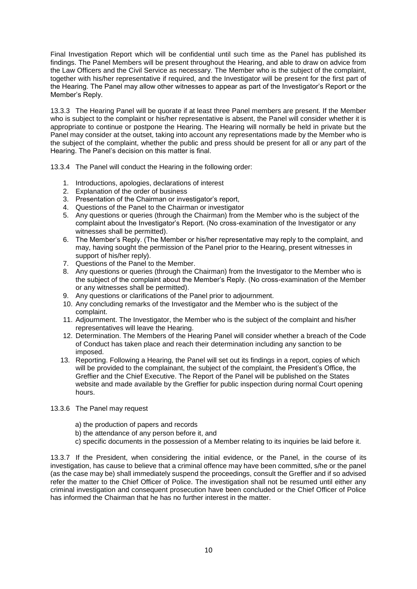Final Investigation Report which will be confidential until such time as the Panel has published its findings. The Panel Members will be present throughout the Hearing, and able to draw on advice from the Law Officers and the Civil Service as necessary. The Member who is the subject of the complaint, together with his/her representative if required, and the Investigator will be present for the first part of the Hearing. The Panel may allow other witnesses to appear as part of the Investigator's Report or the Member's Reply.

13.3.3 The Hearing Panel will be quorate if at least three Panel members are present. If the Member who is subject to the complaint or his/her representative is absent, the Panel will consider whether it is appropriate to continue or postpone the Hearing. The Hearing will normally be held in private but the Panel may consider at the outset, taking into account any representations made by the Member who is the subject of the complaint, whether the public and press should be present for all or any part of the Hearing. The Panel's decision on this matter is final.

13.3.4 The Panel will conduct the Hearing in the following order:

- 1. Introductions, apologies, declarations of interest
- 2. Explanation of the order of business
- 3. Presentation of the Chairman or investigator's report,
- 4. Questions of the Panel to the Chairman or investigator
- 5. Any questions or queries (through the Chairman) from the Member who is the subject of the complaint about the Investigator's Report. (No cross-examination of the Investigator or any witnesses shall be permitted).
- 6. The Member's Reply. (The Member or his/her representative may reply to the complaint, and may, having sought the permission of the Panel prior to the Hearing, present witnesses in support of his/her reply).
- 7. Questions of the Panel to the Member.
- 8. Any questions or queries (through the Chairman) from the Investigator to the Member who is the subject of the complaint about the Member's Reply. (No cross-examination of the Member or any witnesses shall be permitted).
- 9. Any questions or clarifications of the Panel prior to adjournment.
- 10. Any concluding remarks of the Investigator and the Member who is the subject of the complaint.
- 11. Adjournment. The Investigator, the Member who is the subject of the complaint and his/her representatives will leave the Hearing.
- 12. Determination. The Members of the Hearing Panel will consider whether a breach of the Code of Conduct has taken place and reach their determination including any sanction to be imposed.
- 13. Reporting. Following a Hearing, the Panel will set out its findings in a report, copies of which will be provided to the complainant, the subject of the complaint, the President's Office, the Greffier and the Chief Executive. The Report of the Panel will be published on the States website and made available by the Greffier for public inspection during normal Court opening hours.
- 13.3.6 The Panel may request
	- a) the production of papers and records
	- b) the attendance of any person before it, and
	- c) specific documents in the possession of a Member relating to its inquiries be laid before it.

13.3.7 If the President, when considering the initial evidence, or the Panel, in the course of its investigation, has cause to believe that a criminal offence may have been committed, s/he or the panel (as the case may be) shall immediately suspend the proceedings, consult the Greffier and if so advised refer the matter to the Chief Officer of Police. The investigation shall not be resumed until either any criminal investigation and consequent prosecution have been concluded or the Chief Officer of Police has informed the Chairman that he has no further interest in the matter.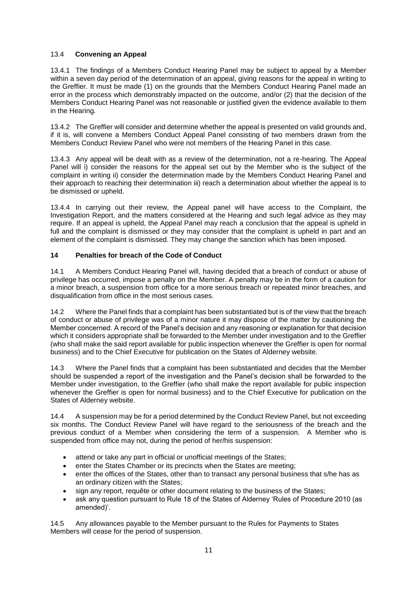## 13.4 **Convening an Appeal**

13.4.1 The findings of a Members Conduct Hearing Panel may be subject to appeal by a Member within a seven day period of the determination of an appeal, giving reasons for the appeal in writing to the Greffier. It must be made (1) on the grounds that the Members Conduct Hearing Panel made an error in the process which demonstrably impacted on the outcome, and/or (2) that the decision of the Members Conduct Hearing Panel was not reasonable or justified given the evidence available to them in the Hearing.

13.4.2 The Greffier will consider and determine whether the appeal is presented on valid grounds and, if it is, will convene a Members Conduct Appeal Panel consisting of two members drawn from the Members Conduct Review Panel who were not members of the Hearing Panel in this case.

13.4.3 Any appeal will be dealt with as a review of the determination, not a re-hearing. The Appeal Panel will i) consider the reasons for the appeal set out by the Member who is the subject of the complaint in writing ii) consider the determination made by the Members Conduct Hearing Panel and their approach to reaching their determination iii) reach a determination about whether the appeal is to be dismissed or upheld.

13.4.4 In carrying out their review, the Appeal panel will have access to the Complaint, the Investigation Report, and the matters considered at the Hearing and such legal advice as they may require. If an appeal is upheld, the Appeal Panel may reach a conclusion that the appeal is upheld in full and the complaint is dismissed or they may consider that the complaint is upheld in part and an element of the complaint is dismissed. They may change the sanction which has been imposed.

## **14 Penalties for breach of the Code of Conduct**

14.1 A Members Conduct Hearing Panel will, having decided that a breach of conduct or abuse of privilege has occurred, impose a penalty on the Member. A penalty may be in the form of a caution for a minor breach, a suspension from office for a more serious breach or repeated minor breaches, and disqualification from office in the most serious cases.

14.2 Where the Panel finds that a complaint has been substantiated but is of the view that the breach of conduct or abuse of privilege was of a minor nature it may dispose of the matter by cautioning the Member concerned. A record of the Panel's decision and any reasoning or explanation for that decision which it considers appropriate shall be forwarded to the Member under investigation and to the Greffier (who shall make the said report available for public inspection whenever the Greffier is open for normal business) and to the Chief Executive for publication on the States of Alderney website.

14.3 Where the Panel finds that a complaint has been substantiated and decides that the Member should be suspended a report of the investigation and the Panel's decision shall be forwarded to the Member under investigation, to the Greffier (who shall make the report available for public inspection whenever the Greffier is open for normal business) and to the Chief Executive for publication on the States of Alderney website.

14.4 A suspension may be for a period determined by the Conduct Review Panel, but not exceeding six months. The Conduct Review Panel will have regard to the seriousness of the breach and the previous conduct of a Member when considering the term of a suspension. A Member who is suspended from office may not, during the period of her/his suspension:

- attend or take any part in official or unofficial meetings of the States:
- enter the States Chamber or its precincts when the States are meeting;
- enter the offices of the States, other than to transact any personal business that s/he has as an ordinary citizen with the States;
- sign any report, requête or other document relating to the business of the States;
- ask any question pursuant to Rule 18 of the States of Alderney 'Rules of Procedure 2010 (as amended)'.

14.5 Any allowances payable to the Member pursuant to the Rules for Payments to States Members will cease for the period of suspension.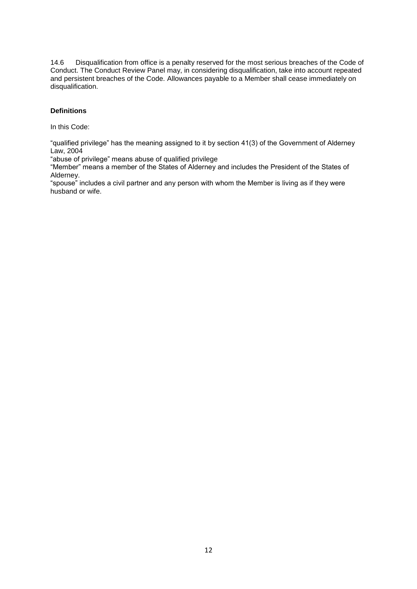14.6 Disqualification from office is a penalty reserved for the most serious breaches of the Code of Conduct. The Conduct Review Panel may, in considering disqualification, take into account repeated and persistent breaches of the Code. Allowances payable to a Member shall cease immediately on disqualification.

#### **Definitions**

In this Code:

"qualified privilege" has the meaning assigned to it by section 41(3) of the Government of Alderney Law, 2004

"abuse of privilege" means abuse of qualified privilege

"Member" means a member of the States of Alderney and includes the President of the States of Alderney.

"spouse" includes a civil partner and any person with whom the Member is living as if they were husband or wife.